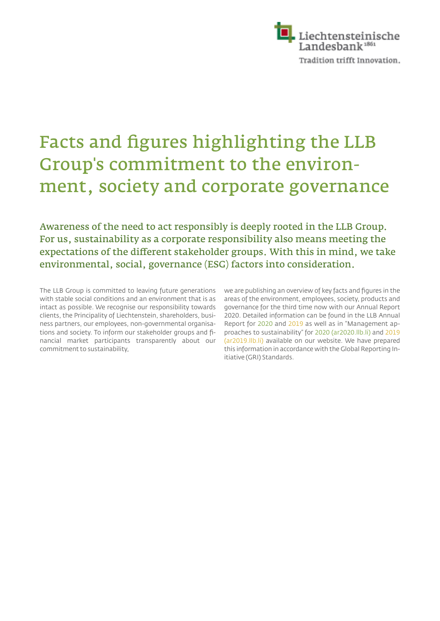

## Facts and figures highlighting the LLB Group's commitment to the environment, society and corporate governance

Awareness of the need to act responsibly is deeply rooted in the LLB Group. For us, sustainability as a corporate responsibility also means meeting the expectations of the different stakeholder groups. With this in mind, we take environmental, social, governance (ESG) factors into consideration.

The LLB Group is committed to leaving future generations with stable social conditions and an environment that is as intact as possible. We recognise our responsibility towards clients, the Principality of Liechtenstein, shareholders, business partners, our employees, non-governmental organisations and society. To inform our stakeholder groups and financial market participants transparently about our commitment to sustainability,

we are publishing an overview of key facts and figures in the areas of the environment, employees, society, products and governance for the third time now with our Annual Report 2020. Detailed information can be found in the LLB Annual Report for 2020 and 2019 as well as in "Management approaches to sustainability" for 2020 (ar2020.llb.li) and 2019 (ar2019.llb.li) available on our website. We have prepared this information in accordance with the Global Reporting Initiative (GRI) Standards.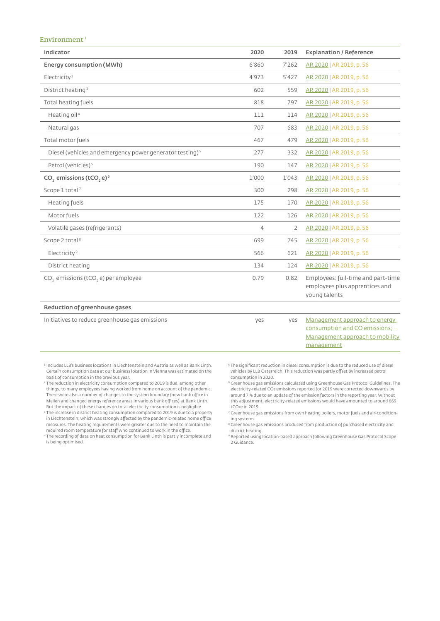## Environment<sup>1</sup>

| Indicator                                                            | 2020  | 2019           | <b>Explanation / Reference</b>                                                                                  |
|----------------------------------------------------------------------|-------|----------------|-----------------------------------------------------------------------------------------------------------------|
| Energy consumption (MWh)                                             | 6'860 | 7'262          | AR 2020   AR 2019, p. 56                                                                                        |
| Electricity <sup>2</sup>                                             | 4'973 | 5'427          | AR 2020   AR 2019, p. 56                                                                                        |
| District heating <sup>3</sup>                                        | 602   | 559            | AR 2020   AR 2019, p. 56                                                                                        |
| Total heating fuels                                                  | 818   | 797            | AR 2020   AR 2019, p. 56                                                                                        |
| Heating oil <sup>4</sup>                                             | 111   | 114            | AR 2020   AR 2019, p. 56                                                                                        |
| Natural gas                                                          | 707   | 683            | AR 2020   AR 2019, p. 56                                                                                        |
| Total motor fuels                                                    | 467   | 479            | AR 2020   AR 2019, p. 56                                                                                        |
| Diesel (vehicles and emergency power generator testing) <sup>5</sup> | 277   | 332            | AR 2020   AR 2019, p. 56                                                                                        |
| Petrol (vehicles) <sup>5</sup>                                       | 190   | 147            | AR 2020   AR 2019, p. 56                                                                                        |
| CO <sub>,</sub> emissions (tCO <sub>, e)<sup>6</sup></sub>           | 1'000 | 1'043          | AR 2020   AR 2019, p. 56                                                                                        |
| Scope 1 total <sup>7</sup>                                           | 300   | 298            | AR 2020   AR 2019, p. 56                                                                                        |
| Heating fuels                                                        | 175   | 170            | AR 2020   AR 2019, p. 56                                                                                        |
| Motorfuels                                                           | 122   | 126            | AR 2020   AR 2019, p. 56                                                                                        |
| Volatile gases (refrigerants)                                        | 4     | $\overline{2}$ | AR 2020   AR 2019, p. 56                                                                                        |
| Scope 2 total <sup>8</sup>                                           | 699   | 745            | AR 2020   AR 2019, p. 56                                                                                        |
| Electricity <sup>9</sup>                                             | 566   | 621            | AR 2020   AR 2019, p. 56                                                                                        |
| District heating                                                     | 134   | 124            | AR 2020   AR 2019, p. 56                                                                                        |
| CO <sub>2</sub> emissions (tCO <sub>2</sub> e) per employee          | 0.79  | 0.82           | Employees: full-time and part-time<br>employees plus apprentices and<br>young talents                           |
| Reduction of greenhouse gases                                        |       |                |                                                                                                                 |
| Initiatives to reduce greenhouse gas emissions                       | yes   | yes            | Management approach to energy<br>consumption and CO emissions;<br>Management approach to mobility<br>management |

<sup>1</sup> Includes LLB's business locations in Liechtenstein and Austria as well as Bank Linth. Certain consumption data at our business location in Vienna was estimated on the basis of consumption in the previous year.

<sup>2</sup> The reduction in electricity consumption compared to 2019 is due, among other things, to many employees having worked from home on account of the pandemic. There were also a number of changes to the system boundary (new bank office in Meilen and changed energy reference areas in various bank offices) at Bank Linth. But the impact of these changes on total electricity consumption is negligible.

<sup>3</sup> The increase in district heating consumption compared to 2019 is due to a property in Liechtenstein, which was strongly affected by the pandemic-related home office measures. The heating requirements were greater due to the need to maintain the required room temperature for staff who continued to work in the office.

<sup>4</sup> The recording of data on heat consumption for Bank Linth is partly incomplete and is being optimised.

 $^{\mathrm{5}}$  The significant reduction in diesel consumption is due to the reduced use of diesel vehicles by LLB Österreich. This reduction was partly offset by increased petrol consumption in 2020.

6 Greenhouse gas emissions calculated using Greenhouse Gas Protocol Guidelines. The electricity-related CO2 emissions reported for 2019 were corrected downwards by around 7 % due to an update of the emission factors in the reporting year. Without this adjustment, electricity-related emissions would have amounted to around 669 tCO₂e in 2019.

7 Greenhouse gas emissions from own heating boilers, motor fuels and air-conditioning systems.

8 Greenhouse gas emissions produced from production of purchased electricity and district heating.

9 Reported using location-based approach following Greenhouse Gas Protocol Scope 2 Guidance.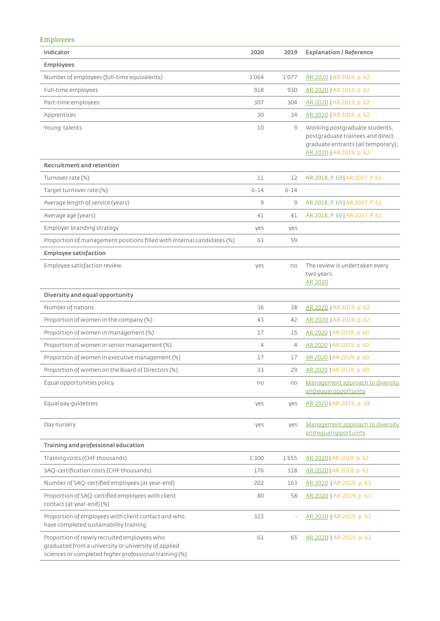|--|--|--|

| Indicator                                                                                                                                                     | 2020           | 2019     | <b>Explanation / Reference</b>                                                                                                       |
|---------------------------------------------------------------------------------------------------------------------------------------------------------------|----------------|----------|--------------------------------------------------------------------------------------------------------------------------------------|
| <b>Employees</b>                                                                                                                                              |                |          |                                                                                                                                      |
| Number of employees (full-time equivalents)                                                                                                                   | 1'064          | 1'077    | AR 2020   AR 2019, p. 62                                                                                                             |
| Full-time employees                                                                                                                                           | 918            | 930      | AR 2020   AR 2019, p. 62                                                                                                             |
| Part-time employees                                                                                                                                           | 307            | 304      | AR 2020   AR 2019, p. 62                                                                                                             |
| Apprentices                                                                                                                                                   | 30             | 34       | AR 2020   AR 2019, p. 62                                                                                                             |
| Young talents                                                                                                                                                 | 10             | $\circ$  | Working postgraduate students,<br>postgraduate trainees and direct<br>graduate entrants (all temporary);<br>AR 2020   AR 2019, p. 62 |
| <b>Recruitment and retention</b>                                                                                                                              |                |          |                                                                                                                                      |
| Turnover rate (%)                                                                                                                                             | 11             | 12       | AR 2018, P. 69   AR 2017, P. 61                                                                                                      |
| Target turnover rate (%)                                                                                                                                      | $6 - 14$       | $6 - 14$ |                                                                                                                                      |
| Average length of service (years)                                                                                                                             | $\circ$        | $\circ$  | AR 2018, P. 69   AR 2017, P. 61                                                                                                      |
| Average age (years)                                                                                                                                           | 41             | 41       | AR 2018, P. 69   AR 2017, P. 61                                                                                                      |
| Employer branding strategy                                                                                                                                    | yes            | yes      |                                                                                                                                      |
| Proportion of management positions filled with internal candidates (%)                                                                                        | 63             | 59       |                                                                                                                                      |
| <b>Employee satisfaction</b>                                                                                                                                  |                |          |                                                                                                                                      |
| Employee satisfaction review                                                                                                                                  | yes            | no       | The review is undertaken every<br>two years.<br>AR 2020                                                                              |
| Diversity and equal opportunity                                                                                                                               |                |          |                                                                                                                                      |
| Number of nations                                                                                                                                             | 36             | 38       | AR 2020   AR 2019, p. 62                                                                                                             |
| Proportion of women in the company (%)                                                                                                                        | 43             | 42       | AR 2020   AR 2019, p. 62                                                                                                             |
| Proportion of women in management (%)                                                                                                                         | 17             | 15       | AR 2020   AR 2019, p. 60                                                                                                             |
| Proportion of women in senior management (%)                                                                                                                  | $\overline{4}$ | 4        | AR 2020   AR 2019, p. 60                                                                                                             |
| Proportion of women in executive management (%)                                                                                                               | 17             | 17       | AR 2020   AR 2019, p. 60                                                                                                             |
| Proportion of women on the Board of Directors (%)                                                                                                             | 33             | 29       | AR 2020   AR 2019, p. 60                                                                                                             |
| Equal opportunities policy                                                                                                                                    | no             | no       | Management approach to diversity<br>and equal opportunity                                                                            |
| Equal pay guidelines                                                                                                                                          | yes            | yes      | AR 2020   AR 2019, p. 58                                                                                                             |
| Day nursery                                                                                                                                                   | yes            | yes      | Management approach to diversity<br>and equal opportunity                                                                            |
| Training and professional education                                                                                                                           |                |          |                                                                                                                                      |
| Training costs (CHF thousands)                                                                                                                                | 1'300          | 1'655    | AR 2020   AR 2019, p. 62                                                                                                             |
| SAQ-certification costs (CHF thousands)                                                                                                                       | 176            | 318      | AR 2020   AR 2019, p. 62                                                                                                             |
| Number of SAQ-certified employees (at year-end)                                                                                                               | 202            | 163      | AR 2020   AR 2019, p. 61                                                                                                             |
| Proportion of SAQ-certified employees with client<br>contact (at year-end) (%)                                                                                | 80             | 58       | AR 2020   AR 2019, p. 61                                                                                                             |
| Proportion of employees with client contact and who<br>have completed sustainability training                                                                 | 323            |          | AR 2020   AR 2019, p. 61                                                                                                             |
| Proportion of newly recruited employees who<br>graduated from a university or university of applied<br>sciences or completed higher professional training (%) | 61             | 65       | AR 2020   AR 2019, p. 61                                                                                                             |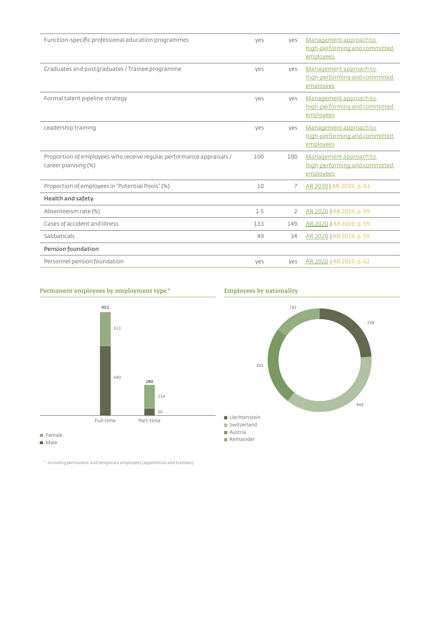| Function-specific professional education programmes                                         | yes | yes | Management approach to<br>high-performing and committed<br>employees |
|---------------------------------------------------------------------------------------------|-----|-----|----------------------------------------------------------------------|
| Graduates and postgraduates / Trainee programme                                             | ves | yes | Management approach to<br>high-performing and committed<br>employees |
| Formal talent pipeline strategy                                                             | ves | ves | Management approach to<br>high-performing and committed<br>employees |
| Leadership training                                                                         | ves | yes | Management approach to<br>high-performing and committed<br>employees |
| Proportion of employees who receive regular performance appraisals /<br>career planning (%) | 100 | 100 | Management approach to<br>high-performing and committed<br>employees |
| Proportion of employees in "Potential Pools" (%)                                            | 10  | 7   | AR 2020   AR 2019, p. 61                                             |
| <b>Health and safety</b>                                                                    |     |     |                                                                      |
| Absenteeism rate (%)                                                                        | 1.5 | 2   | AR 2020   AR 2019, p. 59                                             |
| Cases of accident and illness                                                               | 133 | 149 | AR 2020   AR 2019, p. 59                                             |
| Sabbaticals                                                                                 | 49  | 34  | AR 2020   AR 2019, p. 59                                             |
| <b>Pension foundation</b>                                                                   |     |     |                                                                      |
| Personnel pension foundation                                                                | ves | ves | AR 2020   AR 2019, p. 62                                             |

## **Permanent employees by employment type \* Employees by nationality**



*ΒΒΖ*

*ΐΗΒ*

Male

 $^\circ$  Including permanent and temporary employees (apprentices and trainees)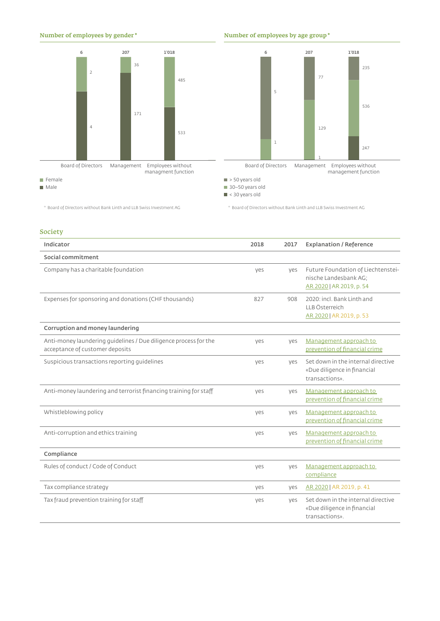







\* Board of Directors without Bank Linth and LLB Swiss Investment AG \* Board of Directors without Bank Linth and LLB Swiss Investment AG

vars old  $\blacksquare$  30-50 years old

## Society

| Indicator                                                                                           | 2018 | 2017 | <b>Explanation / Reference</b>                                                          |
|-----------------------------------------------------------------------------------------------------|------|------|-----------------------------------------------------------------------------------------|
| Social commitment                                                                                   |      |      |                                                                                         |
| Company has a charitable foundation                                                                 | ves  | ves  | Future Foundation of Liechtenstei-<br>nische Landesbank AG;<br>AR 2020   AR 2019, p. 54 |
| Expenses for sponsoring and donations (CHF thousands)                                               | 827  | 908  | 2020: incl. Bank Linth and<br>LLB Österreich<br>AR 2020   AR 2019, p. 53                |
| Corruption and money laundering                                                                     |      |      |                                                                                         |
| Anti-money laundering quidelines / Due diligence process for the<br>acceptance of customer deposits | yes  | yes  | Management approach to<br>prevention of financial crime                                 |
| Suspicious transactions reporting quidelines                                                        | ves  | ves  | Set down in the internal directive<br>«Due diligence in financial<br>transactions».     |
| Anti-money laundering and terrorist financing training for staff                                    | yes  | yes  | Management approach to<br>prevention of financial crime                                 |
| Whistleblowing policy                                                                               | yes  | yes  | Management approach to<br>prevention of financial crime                                 |
| Anti-corruption and ethics training                                                                 | yes  | yes  | Management approach to<br>prevention of financial crime                                 |
| Compliance                                                                                          |      |      |                                                                                         |
| Rules of conduct / Code of Conduct                                                                  | yes  | yes  | Management approach to<br>compliance                                                    |
| Tax compliance strategy                                                                             | yes  | yes  | AR 2020   AR 2019, p. 41                                                                |
| Tax fraud prevention training for staff                                                             | yes  | yes  | Set down in the internal directive<br>«Due diligence in financial<br>transactions».     |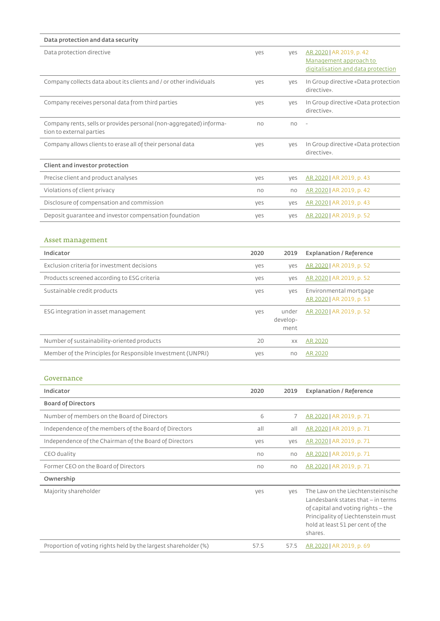| Data protection and data security                                                               |      |                           |                                                                                                                                                                                                   |
|-------------------------------------------------------------------------------------------------|------|---------------------------|---------------------------------------------------------------------------------------------------------------------------------------------------------------------------------------------------|
| Data protection directive                                                                       | yes  | yes                       | AR 2020   AR 2019, p. 42<br>Management approach to<br>digitalisation and data protection                                                                                                          |
| Company collects data about its clients and / or other individuals                              | yes  | yes                       | In Group directive «Data protection<br>directive».                                                                                                                                                |
| Company receives personal data from third parties                                               | yes  | yes                       | In Group directive «Data protection<br>directive».                                                                                                                                                |
| Company rents, sells or provides personal (non-aggregated) informa-<br>tion to external parties | no   | no                        |                                                                                                                                                                                                   |
| Company allows clients to erase all of their personal data                                      | yes  | yes                       | In Group directive «Data protection<br>directive».                                                                                                                                                |
| Client and investor protection                                                                  |      |                           |                                                                                                                                                                                                   |
| Precise client and product analyses                                                             | yes  | yes                       | AR 2020   AR 2019, p. 43                                                                                                                                                                          |
| Violations of client privacy                                                                    | no   | no                        | AR 2020   AR 2019, p. 42                                                                                                                                                                          |
| Disclosure of compensation and commission                                                       | yes  | yes                       | AR 2020   AR 2019, p. 43                                                                                                                                                                          |
| Deposit quarantee and investor compensation foundation                                          | yes  | yes                       | AR 2020   AR 2019, p. 52                                                                                                                                                                          |
|                                                                                                 |      |                           |                                                                                                                                                                                                   |
| Asset management                                                                                |      |                           |                                                                                                                                                                                                   |
| Indicator                                                                                       | 2020 | 2019                      | <b>Explanation / Reference</b>                                                                                                                                                                    |
| Exclusion criteria for investment decisions                                                     | yes  | yes                       | AR 2020   AR 2019, p. 52                                                                                                                                                                          |
| Products screened according to ESG criteria                                                     | yes  | yes                       | AR 2020   AR 2019, p. 52                                                                                                                                                                          |
| Sustainable credit products                                                                     | yes  | yes                       | Environmental mortgage<br>AR 2020   AR 2019, p. 53                                                                                                                                                |
| ESG integration in asset management                                                             | yes  | under<br>develop-<br>ment | AR 2020   AR 2019, p. 52                                                                                                                                                                          |
| Number of sustainability-oriented products                                                      | 20   | XX                        | <b>AR 2020</b>                                                                                                                                                                                    |
| Member of the Principles for Responsible Investment (UNPRI)                                     | yes  | no                        | <b>AR 2020</b>                                                                                                                                                                                    |
| Governance                                                                                      |      |                           |                                                                                                                                                                                                   |
| Indicator                                                                                       | 2020 | 2019                      | <b>Explanation / Reference</b>                                                                                                                                                                    |
| <b>Board of Directors</b>                                                                       |      |                           |                                                                                                                                                                                                   |
| Number of members on the Board of Directors                                                     | 6    | 7                         | AR 2020   AR 2019, p. 71                                                                                                                                                                          |
| Independence of the members of the Board of Directors                                           | all  | all                       | AR 2020   AR 2019, p. 71                                                                                                                                                                          |
| Independence of the Chairman of the Board of Directors                                          | yes  | yes                       | AR 2020   AR 2019, p. 71                                                                                                                                                                          |
| CEO duality                                                                                     | no   | no                        | AR 2020   AR 2019, p. 71                                                                                                                                                                          |
| Former CEO on the Board of Directors                                                            | no   | no                        | AR 2020   AR 2019, p. 71                                                                                                                                                                          |
| Ownership                                                                                       |      |                           |                                                                                                                                                                                                   |
| Majority shareholder                                                                            | yes  | yes                       | The Law on the Liechtensteinische<br>Landesbank states that - in terms<br>of capital and voting rights - the<br>Principality of Liechtenstein must<br>hold at least 51 per cent of the<br>shares. |
| Proportion of voting rights held by the largest shareholder (%)                                 | 57.5 | 57.5                      | AR 2020   AR 2019, p. 69                                                                                                                                                                          |